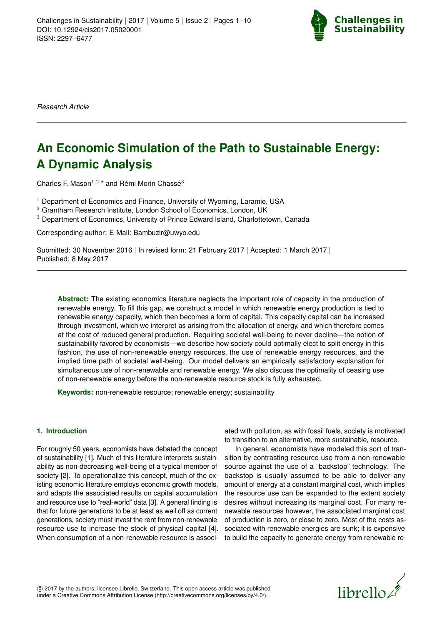

*Research Article*

# **An Economic Simulation of the Path to Sustainable Energy: A Dynamic Analysis**

Charles F. Mason $^{1,2,*}$  and Rémi Morin Chassé $^3$ 

- <sup>1</sup> Department of Economics and Finance, University of Wyoming, Laramie, USA
- $2$  Grantham Research Institute, London School of Economics, London, UK
- $3$  Department of Economics, University of Prince Edward Island, Charlottetown, Canada

Corresponding author: E-Mail: Bambuzlr@uwyo.edu

Submitted: 30 November 2016 | In revised form: 21 February 2017 | Accepted: 1 March 2017 | Published: 8 May 2017

**Abstract:** The existing economics literature neglects the important role of capacity in the production of renewable energy. To fill this gap, we construct a model in which renewable energy production is tied to renewable energy capacity, which then becomes a form of capital. This capacity capital can be increased through investment, which we interpret as arising from the allocation of energy, and which therefore comes at the cost of reduced general production. Requiring societal well-being to never decline—the notion of sustainability favored by economists—we describe how society could optimally elect to split energy in this fashion, the use of non-renewable energy resources, the use of renewable energy resources, and the implied time path of societal well-being. Our model delivers an empirically satisfactory explanation for simultaneous use of non-renewable and renewable energy. We also discuss the optimality of ceasing use of non-renewable energy before the non-renewable resource stock is fully exhausted.

**Keywords:** non-renewable resource; renewable energy; sustainability

### **1. Introduction**

For roughly 50 years, economists have debated the concept of sustainability [\[1\]](#page-7-0). Much of this literature interprets sustainability as non-decreasing well-being of a typical member of society [\[2\]](#page-7-1). To operationalize this concept, much of the existing economic literature employs economic growth models, and adapts the associated results on capital accumulation and resource use to "real-world" data [\[3\]](#page-7-2). A general finding is that for future generations to be at least as well off as current generations, society must invest the rent from non-renewable resource use to increase the stock of physical capital [\[4\]](#page-7-3). When consumption of a non-renewable resource is associ-

ated with pollution, as with fossil fuels, society is motivated to transition to an alternative, more sustainable, resource.

In general, economists have modeled this sort of transition by contrasting resource use from a non-renewable source against the use of a "backstop" technology. The backstop is usually assumed to be able to deliver any amount of energy at a constant marginal cost, which implies the resource use can be expanded to the extent society desires without increasing its marginal cost. For many renewable resources however, the associated marginal cost of production is zero, or close to zero. Most of the costs associated with renewable energies are sunk; it is expensive to build the capacity to generate energy from renewable re-

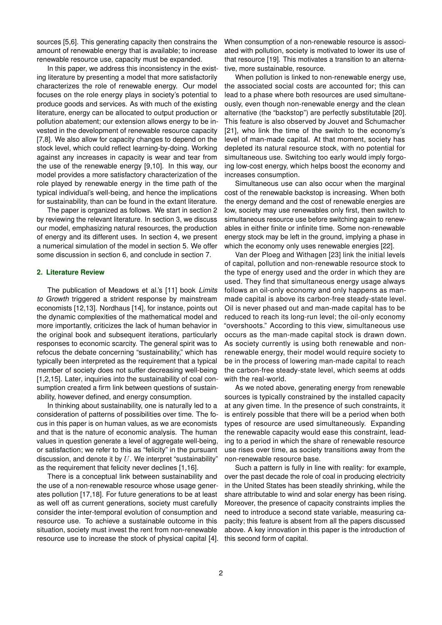sources [\[5,](#page-7-4)[6\]](#page-7-5). This generating capacity then constrains the amount of renewable energy that is available; to increase renewable resource use, capacity must be expanded.

In this paper, we address this inconsistency in the existing literature by presenting a model that more satisfactorily characterizes the role of renewable energy. Our model focuses on the role energy plays in society's potential to produce goods and services. As with much of the existing literature, energy can be allocated to output production or pollution abatement; our extension allows energy to be invested in the development of renewable resource capacity [\[7](#page-7-6)[,8\]](#page-7-7). We also allow for capacity changes to depend on the stock level, which could reflect learning-by-doing. Working against any increases in capacity is wear and tear from the use of the renewable energy [\[9](#page-8-0)[,10\]](#page-8-1). In this way, our model provides a more satisfactory characterization of the role played by renewable energy in the time path of the typical individual's well-being, and hence the implications for sustainability, than can be found in the extant literature.

The paper is organized as follows. We start in section 2 by reviewing the relevant literature. In section 3, we discuss our model, emphasizing natural resources, the production of energy and its different uses. In section 4, we present a numerical simulation of the model in section 5. We offer some discussion in section 6, and conclude in section 7.

#### **2. Literature Review**

The publication of Meadows et al.'s [\[11\]](#page-8-2) book *Limits to Growth* triggered a strident response by mainstream economists [\[12](#page-8-3)[,13\]](#page-8-4). Nordhaus [\[14\]](#page-8-5), for instance, points out the dynamic complexities of the mathematical model and more importantly, criticizes the lack of human behavior in the original book and subsequent iterations, particularly responses to economic scarcity. The general spirit was to refocus the debate concerning "sustainability," which has typically been interpreted as the requirement that a typical member of society does not suffer decreasing well-being [\[1,](#page-7-0)[2](#page-7-1)[,15\]](#page-8-6). Later, inquiries into the sustainability of coal consumption created a firm link between questions of sustainability, however defined, and energy consumption.

In thinking about sustainability, one is naturally led to a consideration of patterns of possibilities over time. The focus in this paper is on human values, as we are economists and that is the nature of economic analysis. The human values in question generate a level of aggregate well-being, or satisfaction; we refer to this as "felicity" in the pursuant discussion, and denote it by  $U$ . We interpret "sustainability" as the requirement that felicity never declines [\[1](#page-7-0)[,16\]](#page-8-7).

There is a conceptual link between sustainability and the use of a non-renewable resource whose usage generates pollution [\[17](#page-8-8)[,18\]](#page-8-9). For future generations to be at least as well off as current generations, society must carefully consider the inter-temporal evolution of consumption and resource use. To achieve a sustainable outcome in this situation, society must invest the rent from non-renewable resource use to increase the stock of physical capital [\[4\]](#page-7-3). When consumption of a non-renewable resource is associated with pollution, society is motivated to lower its use of that resource [\[19\]](#page-8-10). This motivates a transition to an alternative, more sustainable, resource.

When pollution is linked to non-renewable energy use, the associated social costs are accounted for; this can lead to a phase where both resources are used simultaneously, even though non-renewable energy and the clean alternative (the "backstop") are perfectly substitutable [\[20\]](#page-8-11). This feature is also observed by Jouvet and Schumacher [\[21\]](#page-8-12), who link the time of the switch to the economy's level of man-made capital. At that moment, society has depleted its natural resource stock, with no potential for simultaneous use. Switching too early would imply forgoing low-cost energy, which helps boost the economy and increases consumption.

Simultaneous use can also occur when the marginal cost of the renewable backstop is increasing. When both the energy demand and the cost of renewable energies are low, society may use renewables only first, then switch to simultaneous resource use before switching again to renewables in either finite or infinite time. Some non-renewable energy stock may be left in the ground, implying a phase in which the economy only uses renewable energies [\[22\]](#page-8-13).

Van der Ploeg and Withagen [\[23\]](#page-8-14) link the initial levels of capital, pollution and non-renewable resource stock to the type of energy used and the order in which they are used. They find that simultaneous energy usage always follows an oil-only economy and only happens as manmade capital is above its carbon-free steady-state level. Oil is never phased out and man-made capital has to be reduced to reach its long-run level; the oil-only economy "overshoots." According to this view, simultaneous use occurs as the man-made capital stock is drawn down. As society currently is using both renewable and nonrenewable energy, their model would require society to be in the process of lowering man-made capital to reach the carbon-free steady-state level, which seems at odds with the real-world.

As we noted above, generating energy from renewable sources is typically constrained by the installed capacity at any given time. In the presence of such constraints, it is entirely possible that there will be a period when both types of resource are used simultaneously. Expanding the renewable capacity would ease this constraint, leading to a period in which the share of renewable resource use rises over time, as society transitions away from the non-renewable resource base.

Such a pattern is fully in line with reality: for example, over the past decade the role of coal in producing electricity in the United States has been steadily shrinking, while the share attributable to wind and solar energy has been rising. Moreover, the presence of capacity constraints implies the need to introduce a second state variable, measuring capacity; this feature is absent from all the papers discussed above. A key innovation in this paper is the introduction of this second form of capital.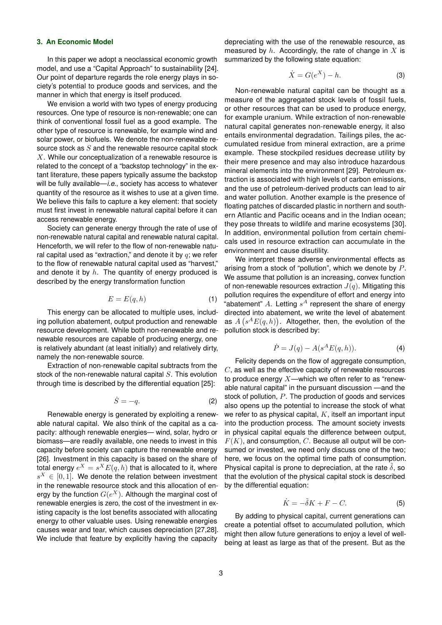#### **3. An Economic Model**

In this paper we adopt a neoclassical economic growth model, and use a "Capital Approach" to sustainability [\[24\]](#page-8-15). Our point of departure regards the role energy plays in society's potential to produce goods and services, and the manner in which that energy is itself produced.

We envision a world with two types of energy producing resources. One type of resource is non-renewable; one can think of conventional fossil fuel as a good example. The other type of resource is renewable, for example wind and solar power, or biofuels. We denote the non-renewable resource stock as  $S$  and the renewable resource capital stock  $X$ . While our conceptualization of a renewable resource is related to the concept of a "backstop technology" in the extant literature, these papers typically assume the backstop will be fully available—*i.e.*, society has access to whatever quantity of the resource as it wishes to use at a given time. We believe this fails to capture a key element: that society must first invest in renewable natural capital before it can access renewable energy.

Society can generate energy through the rate of use of non-renewable natural capital and renewable natural capital. Henceforth, we will refer to the flow of non-renewable natural capital used as "extraction," and denote it by  $q$ ; we refer to the flow of renewable natural capital used as "harvest," and denote it by  $h$ . The quantity of energy produced is described by the energy transformation function

$$
E = E(q, h) \tag{1}
$$

This energy can be allocated to multiple uses, including pollution abatement, output production and renewable resource development. While both non-renewable and renewable resources are capable of producing energy, one is relatively abundant (at least initially) and relatively dirty, namely the non-renewable source.

Extraction of non-renewable capital subtracts from the stock of the non-renewable natural capital  $S$ . This evolution through time is described by the differential equation [\[25\]](#page-8-16):

$$
\dot{S} = -q.\tag{2}
$$

Renewable energy is generated by exploiting a renewable natural capital. We also think of the capital as a capacity: although renewable energies— wind, solar, hydro or biomass—are readily available, one needs to invest in this capacity before society can capture the renewable energy [\[26\]](#page-8-17). Investment in this capacity is based on the share of total energy  $e^X = s^X E(q,h)$  that is allocated to it, where  $s^X \in [0,1]$ . We denote the relation between investment in the renewable resource stock and this allocation of energy by the function  $G(e^X)$ . Although the marginal cost of renewable energies is zero, the cost of the investment in existing capacity is the lost benefits associated with allocating energy to other valuable uses. Using renewable energies causes wear and tear, which causes depreciation [\[27,](#page-8-18)[28\]](#page-8-19). We include that feature by explicitly having the capacity

depreciating with the use of the renewable resource, as measured by  $h$ . Accordingly, the rate of change in  $X$  is summarized by the following state equation:

$$
\dot{X} = G(e^X) - h.
$$
 (3)

Non-renewable natural capital can be thought as a measure of the aggregated stock levels of fossil fuels, or other resources that can be used to produce energy, for example uranium. While extraction of non-renewable natural capital generates non-renewable energy, it also entails environmental degradation. Tailings piles, the accumulated residue from mineral extraction, are a prime example. These stockpiled residues decrease utility by their mere presence and may also introduce hazardous mineral elements into the environment [\[29\]](#page-8-20). Petroleum extraction is associated with high levels of carbon emissions, and the use of petroleum-derived products can lead to air and water pollution. Another example is the presence of floating patches of discarded plastic in northern and southern Atlantic and Pacific oceans and in the Indian ocean; they pose threats to wildlife and marine ecosystems [\[30\]](#page-8-21). In addition, environmental pollution from certain chemicals used in resource extraction can accumulate in the environment and cause disutility.

We interpret these adverse environmental effects as arising from a stock of "pollution", which we denote by P. We assume that pollution is an increasing, convex function of non-renewable resources extraction  $J(q)$ . Mitigating this pollution requires the expenditure of effort and energy into "abatement" A. Letting  $s^A$  represent the share of energy directed into abatement, we write the level of abatement as  $A(s^A E(q, h))$ . Altogether, then, the evolution of the pollution stock is described by:

$$
\dot{P} = J(q) - A(s^A E(q, h)).
$$
\n(4)

Felicity depends on the flow of aggregate consumption,  $C$ , as well as the effective capacity of renewable resources to produce energy  $X$ —which we often refer to as "renewable natural capital" in the pursuant discussion —and the stock of pollution, P. The production of goods and services also opens up the potential to increase the stock of what we refer to as physical capital,  $K$ , itself an important input into the production process. The amount society invests in physical capital equals the difference between output,  $F(K)$ , and consumption, C. Because all output will be consumed or invested, we need only discuss one of the two; here, we focus on the optimal time path of consumption. Physical capital is prone to depreciation, at the rate  $\delta$ , so that the evolution of the physical capital stock is described by the differential equation:

$$
\dot{K} = -\tilde{\delta}K + F - C.\tag{5}
$$

By adding to physical capital, current generations can create a potential offset to accumulated pollution, which might then allow future generations to enjoy a level of wellbeing at least as large as that of the present. But as the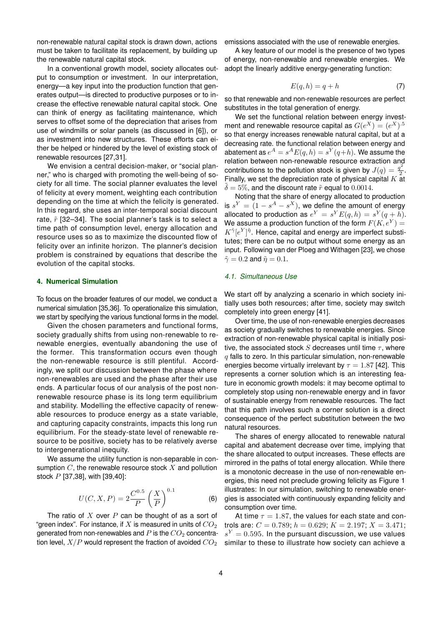non-renewable natural capital stock is drawn down, actions must be taken to facilitate its replacement, by building up the renewable natural capital stock.

In a conventional growth model, society allocates output to consumption or investment. In our interpretation, energy—a key input into the production function that generates output—is directed to productive purposes or to increase the effective renewable natural capital stock. One can think of energy as facilitating maintenance, which serves to offset some of the depreciation that arises from use of windmills or solar panels (as discussed in [\[6\]](#page-7-5)), or as investment into new structures. These efforts can either be helped or hindered by the level of existing stock of renewable resources [\[27](#page-8-18)[,31\]](#page-8-22).

We envision a central decision-maker, or "social planner," who is charged with promoting the well-being of society for all time. The social planner evaluates the level of felicity at every moment, weighting each contribution depending on the time at which the felicity is generated. In this regard, she uses an inter-temporal social discount rate,  $\tilde{r}$  [\[32–](#page-8-23)[34\]](#page-8-24). The social planner's task is to select a time path of consumption level, energy allocation and resource uses so as to maximize the discounted flow of felicity over an infinite horizon. The planner's decision problem is constrained by equations that describe the evolution of the capital stocks.

## **4. Numerical Simulation**

To focus on the broader features of our model, we conduct a numerical simulation [\[35,](#page-8-25)[36\]](#page-8-26). To operationalize this simulation, we start by specifying the various functional forms in the model.

Given the chosen parameters and functional forms, society gradually shifts from using non-renewable to renewable energies, eventually abandoning the use of the former. This transformation occurs even though the non-renewable resource is still plentiful. Accordingly, we split our discussion between the phase where non-renewables are used and the phase after their use ends. A particular focus of our analysis of the post nonrenewable resource phase is its long term equilibrium and stability. Modelling the effective capacity of renewable resources to produce energy as a state variable, and capturing capacity constraints, impacts this long run equilibrium. For the steady-state level of renewable resource to be positive, society has to be relatively averse to intergenerational inequity.

We assume the utility function is non-separable in consumption  $C$ , the renewable resource stock  $X$  and pollution stock P [\[37,](#page-8-27)[38\]](#page-8-28), with [\[39,](#page-8-29)[40\]](#page-8-30):

$$
U(C, X, P) = 2\frac{C^{0.5}}{P} \left(\frac{X}{P}\right)^{0.1}
$$
 (6)

The ratio of  $X$  over  $P$  can be thought of as a sort of "green index". For instance, if X is measured in units of  $CO<sub>2</sub>$ generated from non-renewables and  $P$  is the  $CO<sub>2</sub>$  concentration level,  $X/P$  would represent the fraction of avoided  $CO<sub>2</sub>$  emissions associated with the use of renewable energies.

A key feature of our model is the presence of two types of energy, non-renewable and renewable energies. We adopt the linearly additive energy-generating function:

$$
E(q, h) = q + h \tag{7}
$$

so that renewable and non-renewable resources are perfect substitutes in the total generation of energy.

We set the functional relation between energy investment and renewable resource capital as  $G(e^X) = (e^X)^{1.5}$ so that energy increases renewable natural capital, but at a decreasing rate. the functional relation between energy and abatement as  $e^A = s^A E(q,h) = s^Y(q\!+\!h).$  We assume the relation between non-renewable resource extraction and contributions to the pollution stock is given by  $J(q) = \frac{q^2}{2}$  $\frac{1}{2}$  . Finally, we set the depreciation rate of physical capital  $K$  at  $\delta = 5\%$ , and the discount rate  $\tilde{r}$  equal to 0.0014.

Noting that the share of energy allocated to production is  $s^Y = (1 - s^A - s^X)$ , we define the amount of energy allocated to production as  $e^Y = s^Y E(q,h) = s^Y(q+h)$ . We assume a production function of the form  $F(K, e^Y) = 0$  $K^{\tilde{\gamma}}[e^Y]^{\tilde{\eta}}.$  Hence, capital and energy are imperfect substitutes; there can be no output without some energy as an input. Following van der Ploeg and Withagen [\[23\]](#page-8-14), we chose  $\tilde{\gamma} = 0.2$  and  $\tilde{n} = 0.1$ .

#### <span id="page-3-0"></span>*4.1. Simultaneous Use*

We start off by analyzing a scenario in which society initially uses both resources; after time, society may switch completely into green energy [\[41\]](#page-8-31).

Over time, the use of non-renewable energies decreases as society gradually switches to renewable energies. Since extraction of non-renewable physical capital is initially positive, the associated stock S decreases until time  $\tau$ , where  $q$  falls to zero. In this particular simulation, non-renewable energies become virtually irrelevant by  $\tau = 1.87$  [\[42\]](#page-8-32). This represents a corner solution which is an interesting feature in economic growth models: it may become optimal to completely stop using non-renewable energy and in favor of sustainable energy from renewable resources. The fact that this path involves such a corner solution is a direct consequence of the perfect substitution between the two natural resources.

The shares of energy allocated to renewable natural capital and abatement decrease over time, implying that the share allocated to output increases. These effects are mirrored in the paths of total energy allocation. While there is a monotonic decrease in the use of non-renewable energies, this need not preclude growing felicity as Figure [1](#page-4-0) illustrates: In our simulation, switching to renewable energies is associated with continuously expanding felicity and consumption over time.

At time  $\tau = 1.87$ , the values for each state and controls are:  $C = 0.789$ ;  $h = 0.629$ ;  $K = 2.197$ ;  $X = 3.471$ ;  $s^Y=0.595.$  In the pursuant discussion, we use values similar to these to illustrate how society can achieve a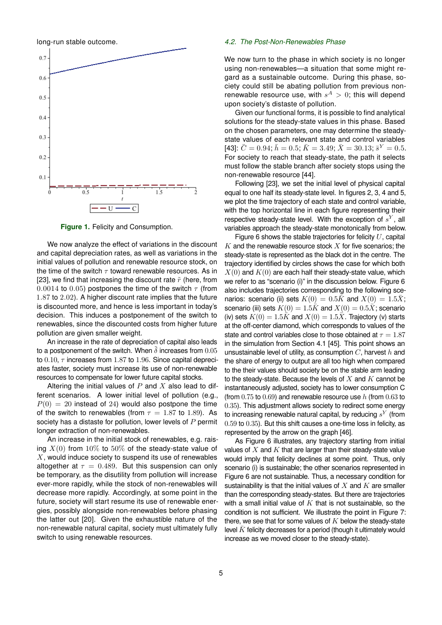long-run stable outcome.



<span id="page-4-0"></span>**Figure 1.** Felicity and Consumption.

We now analyze the effect of variations in the discount and capital depreciation rates, as well as variations in the initial values of pollution and renewable resource stock, on the time of the switch  $\tau$  toward renewable resources. As in [\[23\]](#page-8-14), we find that increasing the discount rate  $\tilde{r}$  (here, from 0.0014 to 0.05) postpones the time of the switch  $\tau$  (from 1.87 to 2.02). A higher discount rate implies that the future is discounted more, and hence is less important in today's decision. This induces a postponement of the switch to renewables, since the discounted costs from higher future pollution are given smaller weight.

An increase in the rate of depreciation of capital also leads to a postponement of the switch. When  $\delta$  increases from  $0.05$ to  $0.10$ ,  $\tau$  increases from 1.87 to 1.96. Since capital depreciates faster, society must increase its use of non-renewable resources to compensate for lower future capital stocks.

Altering the initial values of  $P$  and  $X$  also lead to different scenarios. A lower initial level of pollution (e.g.,  $P(0) = 20$  instead of 24) would also postpone the time of the switch to renewables (from  $\tau = 1.87$  to 1.89). As society has a distaste for pollution, lower levels of  $P$  permit longer extraction of non-renewables.

An increase in the initial stock of renewables, e.g. raising  $X(0)$  from  $10\%$  to  $50\%$  of the steady-state value of  $X$ , would induce society to suspend its use of renewables altogether at  $\tau = 0.489$ . But this suspension can only be temporary, as the disutility from pollution will increase ever-more rapidly, while the stock of non-renewables will decrease more rapidly. Accordingly, at some point in the future, society will start resume its use of renewable energies, possibly alongside non-renewables before phasing the latter out [\[20\]](#page-8-11). Given the exhaustible nature of the non-renewable natural capital, society must ultimately fully switch to using renewable resources.

#### <span id="page-4-1"></span>*4.2. The Post-Non-Renewables Phase*

We now turn to the phase in which society is no longer using non-renewables—a situation that some might regard as a sustainable outcome. During this phase, society could still be abating pollution from previous nonrenewable resource use, with  $s^A > 0$ ; this will depend upon society's distaste of pollution.

Given our functional forms, it is possible to find analytical solutions for the steady-state values in this phase. Based on the chosen parameters, one may determine the steadystate values of each relevant state and control variables [\[43\]](#page-8-33):  $\bar{C} = 0.94; \bar{h} = 0.5; \bar{K} = 3.49; \bar{X} = 30.13; \bar{s}^Y = 0.5.$ For society to reach that steady-state, the path it selects must follow the stable branch after society stops using the non-renewable resource [\[44\]](#page-9-1).

Following [\[23\]](#page-8-14), we set the initial level of physical capital equal to one half its steady-state level. In figures [2,](#page-5-0) [3,](#page-5-1) [4](#page-5-2) and [5,](#page-5-3) we plot the time trajectory of each state and control variable, with the top horizontal line in each figure representing their respective steady-state level. With the exception of  $s^Y$ , all variables approach the steady-state monotonically from below.

Figure [6](#page-6-0) shows the stable trajectories for felicity  $U$ , capital  $K$  and the renewable resource stock  $X$  for five scenarios; the steady-state is represented as the black dot in the centre. The trajectory identified by circles shows the case for which both  $X(0)$  and  $K(0)$  are each half their steady-state value, which we refer to as "scenario (i)" in the discussion below. Figure [6](#page-6-0) also includes trajectories corresponding to the following scenarios: scenario (ii) sets  $K(0) = 0.5\overline{K}$  and  $X(0) = 1.5\overline{X}$ ; scenario (iii) sets  $K(0) = 1.5K$  and  $X(0) = 0.5\overline{X}$ ; scenario (iv) sets  $K(0) = 1.5\bar{K}$  and  $X(0) = 1.5\bar{X}$ . Trajectory (v) starts at the off-center diamond, which corresponds to values of the state and control variables close to those obtained at  $\tau = 1.87$ in the simulation from Section [4.1](#page-3-0) [\[45\]](#page-9-2). This point shows an unsustainable level of utility, as consumption  $C$ , harvest  $h$  and the share of energy to output are all too high when compared to the their values should society be on the stable arm leading to the steady-state. Because the levels of  $X$  and  $K$  cannot be instantaneously adjusted, society has to lower consumption C (from  $0.75$  to  $0.69$ ) and renewable resource use h (from  $0.63$  to 0.35). This adjustment allows society to redirect some energy to increasing renewable natural capital, by reducing  $s^Y$  (from 0.59 to 0.35). But this shift causes a one-time loss in felicity, as represented by the arrow on the graph [\[46\]](#page-9-3).

As Figure [6](#page-6-0) illustrates, any trajectory starting from initial values of  $X$  and  $K$  that are larger than their steady-state value would imply that felicity declines at some point. Thus, only scenario (i) is sustainable; the other scenarios represented in Figure [6](#page-6-0) are not sustainable. Thus, a necessary condition for sustainability is that the initial values of  $X$  and  $K$  are smaller than the corresponding steady-states. But there are trajectories with a small initial value of  $K$  that is not sustainable, so the condition is not sufficient. We illustrate the point in Figure [7:](#page-6-1) there, we see that for some values of  $K$  below the steady-state level  $K$  felicity decreases for a period (though it ultimately would increase as we moved closer to the steady-state).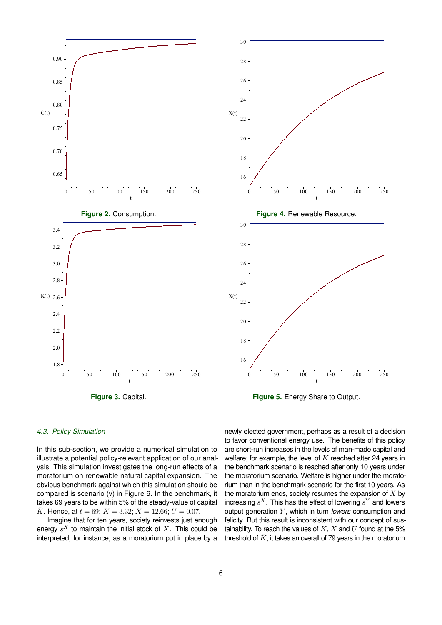<span id="page-5-0"></span>

<span id="page-5-2"></span>

<span id="page-5-3"></span>**Figure 5.** Energy Share to Output.

## <span id="page-5-1"></span>*4.3. Policy Simulation*

In this sub-section, we provide a numerical simulation to illustrate a potential policy-relevant application of our analysis. This simulation investigates the long-run effects of a moratorium on renewable natural capital expansion. The obvious benchmark against which this simulation should be compared is scenario (v) in Figure 6. In the benchmark, it takes 69 years to be within 5% of the steady-value of capital  $\bar{K}$ . Hence, at  $t = 69$ :  $K = 3.32$ ;  $X = 12.66$ ;  $U = 0.07$ .

Imagine that for ten years, society reinvests just enough energy  $s^X$  to maintain the initial stock of  $X$ . This could be interpreted, for instance, as a moratorium put in place by a newly elected government, perhaps as a result of a decision to favor conventional energy use. The benefits of this policy are short-run increases in the levels of man-made capital and welfare; for example, the level of  $K$  reached after 24 years in the benchmark scenario is reached after only 10 years under the moratorium scenario. Welfare is higher under the moratorium than in the benchmark scenario for the first 10 years. As the moratorium ends, society resumes the expansion of  $X$  by increasing  $s^X$ . This has the effect of lowering  $s^Y$  and lowers output generation Y, which in turn *lowers* consumption and felicity. But this result is inconsistent with our concept of sustainability. To reach the values of  $K$ ,  $X$  and  $U$  found at the 5% threshold of  $\bar{K}$ , it takes an overall of 79 years in the moratorium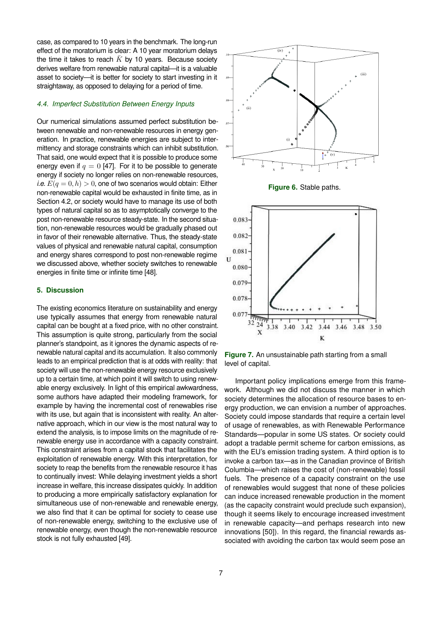case, as compared to 10 years in the benchmark. The long-run effect of the moratorium is clear: A 10 year moratorium delays the time it takes to reach  $\bar{K}$  by 10 years. Because society derives welfare from renewable natural capital—it is a valuable asset to society—it is better for society to start investing in it straightaway, as opposed to delaying for a period of time.

#### *4.4. Imperfect Substitution Between Energy Inputs*

Our numerical simulations assumed perfect substitution between renewable and non-renewable resources in energy generation. In practice, renewable energies are subject to intermittency and storage constraints which can inhibit substitution. That said, one would expect that it is possible to produce some energy even if  $q = 0$  [\[47\]](#page-9-4). For it to be possible to generate energy if society no longer relies on non-renewable resources, *i.e.*  $E(q = 0, h) > 0$ , one of two scenarios would obtain: Either non-renewable capital would be exhausted in finite time, as in Section [4.2,](#page-4-1) or society would have to manage its use of both types of natural capital so as to asymptotically converge to the post non-renewable resource steady-state. In the second situation, non-renewable resources would be gradually phased out in favor of their renewable alternative. Thus, the steady-state values of physical and renewable natural capital, consumption and energy shares correspond to post non-renewable regime we discussed above, whether society switches to renewable energies in finite time or infinite time [\[48\]](#page-9-5).

# **5. Discussion**

The existing economics literature on sustainability and energy use typically assumes that energy from renewable natural capital can be bought at a fixed price, with no other constraint. This assumption is quite strong, particularly from the social planner's standpoint, as it ignores the dynamic aspects of renewable natural capital and its accumulation. It also commonly leads to an empirical prediction that is at odds with reality: that society will use the non-renewable energy resource exclusively up to a certain time, at which point it will switch to using renewable energy exclusively. In light of this empirical awkwardness, some authors have adapted their modeling framework, for example by having the incremental cost of renewables rise with its use, but again that is inconsistent with reality. An alternative approach, which in our view is the most natural way to extend the analysis, is to impose limits on the magnitude of renewable energy use in accordance with a capacity constraint. This constraint arises from a capital stock that facilitates the exploitation of renewable energy. With this interpretation, for society to reap the benefits from the renewable resource it has to continually invest: While delaying investment yields a short increase in welfare, this increase dissipates quickly. In addition to producing a more empirically satisfactory explanation for simultaneous use of non-renewable and renewable energy, we also find that it can be optimal for society to cease use of non-renewable energy, switching to the exclusive use of renewable energy, even though the non-renewable resource stock is not fully exhausted [\[49\]](#page-9-6).



<span id="page-6-0"></span>



<span id="page-6-1"></span>**Figure 7.** An unsustainable path starting from a small level of capital.

Important policy implications emerge from this framework. Although we did not discuss the manner in which society determines the allocation of resource bases to energy production, we can envision a number of approaches. Society could impose standards that require a certain level of usage of renewables, as with Renewable Performance Standards—popular in some US states. Or society could adopt a tradable permit scheme for carbon emissions, as with the EU's emission trading system. A third option is to invoke a carbon tax—as in the Canadian province of British Columbia—which raises the cost of (non-renewable) fossil fuels. The presence of a capacity constraint on the use of renewables would suggest that none of these policies can induce increased renewable production in the moment (as the capacity constraint would preclude such expansion), though it seems likely to encourage increased investment in renewable capacity—and perhaps research into new innovations [\[50\]](#page-9-7)). In this regard, the financial rewards associated with avoiding the carbon tax would seem pose an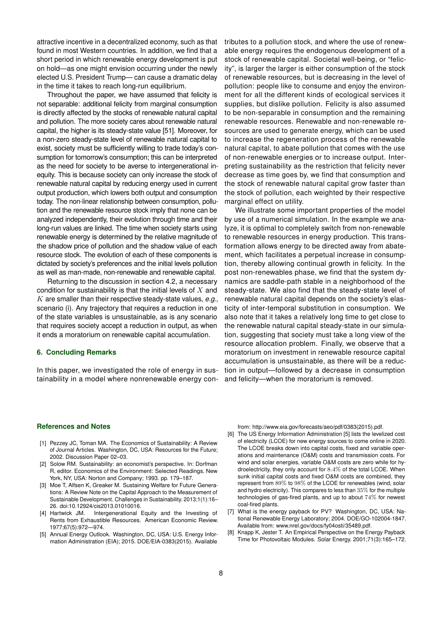attractive incentive in a decentralized economy, such as that found in most Western countries. In addition, we find that a short period in which renewable energy development is put on hold—as one might envision occurring under the newly elected U.S. President Trump— can cause a dramatic delay in the time it takes to reach long-run equilibrium.

Throughout the paper, we have assumed that felicity is not separable: additional felicity from marginal consumption is directly affected by the stocks of renewable natural capital and pollution. The more society cares about renewable natural capital, the higher is its steady-state value [\[51\]](#page-9-8). Moreover, for a non-zero steady-state level of renewable natural capital to exist, society must be sufficiently willing to trade today's consumption for tomorrow's consumption; this can be interpreted as the need for society to be averse to intergenerational inequity. This is because society can only increase the stock of renewable natural capital by reducing energy used in current output production, which lowers both output and consumption today. The non-linear relationship between consumption, pollution and the renewable resource stock imply that none can be analyzed independently, their evolution through time and their long-run values are linked. The time when society starts using renewable energy is determined by the relative magnitude of the shadow price of pollution and the shadow value of each resource stock. The evolution of each of these components is dictated by society's preferences and the initial levels pollution as well as man-made, non-renewable and renewable capital.

Returning to the discussion in section [4.2,](#page-4-1) a necessary condition for sustainability is that the initial levels of  $X$  and K are smaller than their respective steady-state values, *e.g.*, scenario (i). Any trajectory that requires a reduction in one of the state variables is unsustainable, as is any scenario that requires society accept a reduction in output, as when it ends a moratorium on renewable capital accumulation.

## **6. Concluding Remarks**

In this paper, we investigated the role of energy in sustainability in a model where nonrenewable energy con-

tributes to a pollution stock, and where the use of renewable energy requires the endogenous development of a stock of renewable capital. Societal well-being, or "felicity", is larger the larger is either consumption of the stock of renewable resources, but is decreasing in the level of pollution: people like to consume and enjoy the environment for all the different kinds of ecological services it supplies, but dislike pollution. Felicity is also assumed to be non-separable in consumption and the remaining renewable resources. Renewable and non-renewable resources are used to generate energy, which can be used to increase the regeneration process of the renewable natural capital, to abate pollution that comes with the use of non-renewable energies or to increase output. Interpreting sustainability as the restriction that felicity never decrease as time goes by, we find that consumption and the stock of renewable natural capital grow faster than the stock of pollution, each weighted by their respective marginal effect on utility.

We illustrate some important properties of the model by use of a numerical simulation. In the example we analyze, it is optimal to completely switch from non-renewable to renewable resources in energy production. This transformation allows energy to be directed away from abatement, which facilitates a perpetual increase in consumption, thereby allowing continual growth in felicity. In the post non-renewables phase, we find that the system dynamics are saddle-path stable in a neighborhood of the steady-state. We also find that the steady-state level of renewable natural capital depends on the society's elasticity of inter-temporal substitution in consumption. We also note that it takes a relatively long time to get close to the renewable natural capital steady-state in our simulation, suggesting that society must take a long view of the resource allocation problem. Finally, we observe that a moratorium on investment in renewable resource capital accumulation is unsustainable, as there will be a reduction in output—followed by a decrease in consumption and felicity—when the moratorium is removed.

#### **References and Notes**

- <span id="page-7-0"></span>[1] Pezzey JC, Toman MA. The Economics of Sustainability: A Review of Journal Articles. Washington, DC, USA: Resources for the Future; 2002. Discussion Paper 02–03.
- <span id="page-7-1"></span>[2] Solow RM. Sustainability: an economist's perspective. In: Dorfman R, editor. Economics of the Environment: Selected Readings. New York, NY, USA: Norton and Company; 1993. pp. 179–187.
- <span id="page-7-2"></span>[3] Moe T, Alfsen K, Greaker M. Sustaining Welfare for Future Generations: A Review Note on the Capital Approach to the Measurement of Sustainable Development. Challenges in Sustainability. 2013;1(1):16– 26. [doi:10.12924/cis2013.01010016.](https://doi.org/10.12924/cis2013.01010016)
- <span id="page-7-3"></span>[4] Hartwick JM. Intergenerational Equity and the Investing of Rents from Exhaustible Resources. American Economic Review. 1977;67(5):972—974.
- <span id="page-7-4"></span>[5] Annual Energy Outlook. Washington, DC, USA: U.S. Energy Information Administration (EIA); 2015. DOE/EIA-0383(2015). Available

from: [http://www.eia.gov/forecasts/aeo/pdf/0383\(2015\).pdf.](http://www.eia.gov/forecasts/aeo/pdf/0383(2015).pdf)

- <span id="page-7-5"></span>[6] The US Energy Information Administration [\[5\]](#page-7-4) lists the levelized cost of electricity (LCOE) for new energy sources to come online in 2020. The LCOE breaks down into capital costs, fixed and variable operations and maintenance (O&M) costs and transmission costs. For wind and solar energies, variable O&M costs are zero while for hydroelectricity, they only account for 8.4% of the total LCOE. When sunk initial capital costs and fixed O&M costs are combined, they represent from 89% to 98% of the LCOE for renewables (wind, solar and hydro electricity). This compares to less than 35% for the multiple technologies of gas-fired plants, and up to about 74% for newest coal-fired plants.
- <span id="page-7-6"></span>[7] What is the energy payback for PV? Washington, DC, USA: National Renewable Energy Laboratory; 2004. DOE/GO-102004-1847. Available from: [www.nrel.gov/docs/fy04osti/35489.pdf.](www.nrel.gov/docs/fy04osti/35489.pdf)
- <span id="page-7-7"></span>[8] Knapp K, Jester T. An Empirical Perspective on the Energy Payback Time for Photovoltaic Modules. Solar Energy. 2001;71(3):165–172.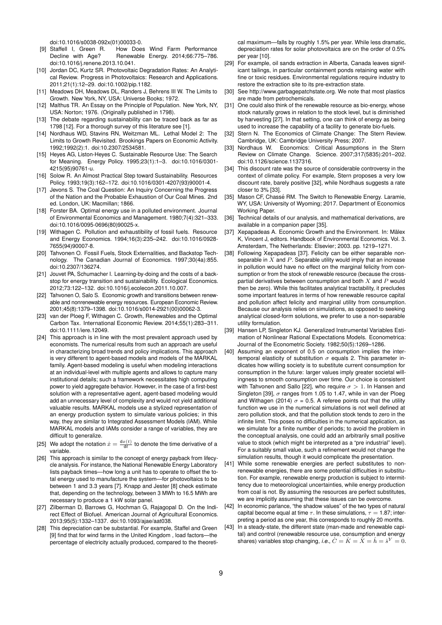[doi:10.1016/s0038-092x\(01\)00033-0.](https://doi.org/10.1016/s0038-092x(01)00033-0)

- <span id="page-8-0"></span>[9] Staffell I, Green R. How Does Wind Farm Performance Decline with Age? Renewable Energy. 2014;66:775-786. [doi:10.1016/j.renene.2013.10.041.](https://doi.org/10.1016/j.renene.2013.10.041)
- <span id="page-8-1"></span>[10] Jordan DC, Kurtz SR. Photovoltaic Degradation Rates: An Analytical Review. Progress in Photovoltaics: Research and Applications. 2011;21(1):12–29. [doi:10.1002/pip.1182.](https://doi.org/10.1002/pip.1182)
- <span id="page-8-2"></span>[11] Meadows DH, Meadows DL, Randers J, Behrens III W. The Limits to Growth. New York, NY, USA: Universe Books; 1972.
- <span id="page-8-3"></span>[12] Malthus TR. An Essay on the Principle of Population. New York, NY, USA: Norton; 1976. (Originally published in 1798).
- <span id="page-8-4"></span>[13] The debate regarding sustainability can be traced back as far as 1798 [\[12\]](#page-8-3). For a thorough survey of this literature see [\[1\]](#page-7-0).
- <span id="page-8-5"></span>[14] Nordhaus WD, Stavins RN, Weitzman ML. Lethal Model 2: The Limits to Growth Revisited. Brookings Papers on Economic Activity. 1992;1992(2):1. [doi:10.2307/2534581.](https://doi.org/10.2307/2534581)
- <span id="page-8-6"></span>[15] Heyes AG, Liston-Heyes C. Sustainable Resource Use: The Search for Meaning. Energy Policy. 1995;23(1):1–3. [doi:10.1016/0301-](https://doi.org/10.1016/0301-4215(95)90761-u) [4215\(95\)90761-u.](https://doi.org/10.1016/0301-4215(95)90761-u)
- <span id="page-8-7"></span>[16] Solow R. An Almost Practical Step toward Sustainability. Resources Policy. 1993;19(3):162–172. [doi:10.1016/0301-4207\(93\)90001-4.](https://doi.org/10.1016/0301-4207(93)90001-4)
- <span id="page-8-8"></span>[17] Jevons S. The Coal Question: An Inquiry Concerning the Progress of the Nation and the Probable Exhaustion of Our Coal Mines. 2nd ed. London, UK: Macmillan; 1866.
- <span id="page-8-9"></span>[18] Forster BA. Optimal energy use in a polluted environment. Journal of Environmental Economics and Management. 1980;7(4):321–333. [doi:10.1016/0095-0696\(80\)90025-x.](https://doi.org/10.1016/0095-0696(80)90025-x)
- <span id="page-8-10"></span>[19] Withagen C. Pollution and exhaustibility of fossil fuels. Resource and Energy Economics. 1994;16(3):235–242. [doi:10.1016/0928-](https://doi.org/10.1016/0928-7655(94)90007-8) [7655\(94\)90007-8.](https://doi.org/10.1016/0928-7655(94)90007-8)
- <span id="page-8-11"></span>[20] Tahvonen O. Fossil Fuels, Stock Externalities, and Backstop Technology. The Canadian Journal of Economics. 1997;30(4a):855. [doi:10.2307/136274.](https://doi.org/10.2307/136274)
- <span id="page-8-12"></span>[21] Jouvet PA, Schumacher I. Learning-by-doing and the costs of a backstop for energy transition and sustainability. Ecological Economics. 2012;73:122–132. [doi:10.1016/j.ecolecon.2011.10.007.](https://doi.org/10.1016/j.ecolecon.2011.10.007)
- <span id="page-8-13"></span>[22] Tahvonen O, Salo S. Economic growth and transitions between renewable and nonrenewable energy resources. European Economic Review. 2001;45(8):1379–1398. [doi:10.1016/s0014-2921\(00\)00062-3.](https://doi.org/10.1016/s0014-2921(00)00062-3)
- <span id="page-8-14"></span>[23] van der Ploeg F, Withagen C. Growth, Renewables and the Optimal Carbon Tax. International Economic Review. 2014;55(1):283–311. [doi:10.1111/iere.12049.](https://doi.org/10.1111/iere.12049)
- <span id="page-8-15"></span>[24] This approach is in line with the most prevalent approach used by economists. The numerical results from such an approach are useful in characterizing broad trends and policy implications. This approach is very different to agent-based models and models of the MARKAL family. Agent-based modeling is useful when modeling interactions at an individual-level with multiple agents and allows to capture many institutional details; such a framework necessitates high computing power to yield aggregate behavior. However, in the case of a first-best solution with a representative agent, agent-based modeling would add an unnecessary level of complexity and would not yield additional valuable results. MARKAL models use a stylized representation of an energy production system to simulate various policies; in this way, they are similar to Integrated Assessment Models (IAM). While MARKAL models and IAMs consider a range of variables, they are difficult to generalize.
- <span id="page-8-16"></span>[25] We adopt the notation  $\dot{x} = \frac{dx(t)}{dt}$  to denote the time derivative of a variable.
- <span id="page-8-17"></span>[26] This approach is similar to the concept of energy payback from lifecycle analysis. For instance, the National Renewable Energy Laboratory lists payback times—how long a unit has to operate to offset the total energy used to manufacture the system—for photovoltaics to be between 1 and 3.3 years [\[7\]](#page-7-6). Knapp and Jester [\[8\]](#page-7-7) check estimate that, depending on the technology, between 3 MWh to 16.5 MWh are necessary to produce a 1 kW solar panel.
- <span id="page-8-18"></span>[27] Zilberman D, Barrows G, Hochman G, Rajagopal D. On the Indirect Effect of Biofuel. American Journal of Agricultural Economics. 2013;95(5):1332–1337. [doi:10.1093/ajae/aat038.](https://doi.org/10.1093/ajae/aat038)
- <span id="page-8-19"></span>[28] This depreciation can be substantial. For example, Staffel and Green [9] find that for wind farms in the United Kingdom, load factors--- the percentage of electricity actually produced, compared to the theoreti-

cal maximum—falls by roughly 1.5% per year. While less dramatic, depreciation rates for solar photovoltaics are on the order of 0.5% per year [\[10\]](#page-8-1).

- <span id="page-8-20"></span>[29] For example, oil sands extraction in Alberta, Canada leaves significant tailings, in particular containment ponds retaining water with fine or toxic residues. Environmental regulations require industry to restore the extraction site to its pre-extraction state.
- <span id="page-8-21"></span>[30] See [http://www.garbagepatchstate.org.](http://www.garbagepatchstate.org) We note that most plastics are made from petrochemicals.
- <span id="page-8-22"></span>[31] One could also think of the renewable resource as bio-energy, whose stock naturally grows in relation to the stock level, but is diminished by harvesting [\[27\]](#page-8-18). In that setting, one can think of energy as being used to increase the capability of a facility to generate bio-fuels.
- <span id="page-8-23"></span>[32] Stern N. The Economics of Climate Change: The Stern Review. Cambridge, UK: Cambridge University Press; 2007.
- <span id="page-8-34"></span>[33] Nordhaus W. Economics: Critical Assumptions in the Stern Review on Climate Change. Science. 2007;317(5835):201–202. [doi:10.1126/science.1137316.](https://doi.org/10.1126/science.1137316)
- <span id="page-8-24"></span>[34] This discount rate was the source of considerable controversy in the context of climate policy. For example, Stern proposes a very low discount rate, barely positive [\[32\]](#page-8-23), while Nordhaus suggests a rate closer to 3% [\[33\]](#page-8-34).
- <span id="page-8-25"></span>[35] Mason CF, Chassé RM. The Switch to Renewable Energy. Laramie, WY, USA: University of Wyoming; 2017. Department of Economics Working Paper.
- <span id="page-8-26"></span>[36] Technical details of our analysis, and mathematical derivations, are available in a companion paper [\[35\]](#page-8-25).
- <span id="page-8-27"></span>[37] Xepapadeas A. Economic Growth and the Environment. In: Mälex K, Vincent J, editors. Handbook of Environmental Economics. Vol. 3. Amsterdam, The Netherlands: Elsevier; 2003. pp. 1219–1271.
- <span id="page-8-28"></span>[38] Following Xepapadeas [\[37\]](#page-8-27). Felicity can be either separable nonseparable in  $X$  and  $P$ . Separable utility would imply that an increase in pollution would have no effect on the marginal felicity from consumption or from the stock of renewable resource (because the crosspartial derivatives between consumption and both  $X$  and  $P$  would then be zero). While this facilitates analytical tractability, it precludes some important features in terms of how renewable resource capital and pollution affect felicity and marginal utility from consumption. Because our analysis relies on simulations, as opposed to seeking analytical closed-form solutions, we prefer to use a non-separable utility formulation.
- <span id="page-8-29"></span>[39] Hansen LP, Singleton KJ. Generalized Instrumental Variables Estimation of Nonlinear Rational Expectations Models. Econometrica: Journal of the Econometric Society. 1982;50(5):1269–1286.
- <span id="page-8-30"></span>[40] Assuming an exponent of 0.5 on consumption implies the intertemporal elasticity of substitution  $\sigma$  equals 2. This parameter indicates how willing society is to substitute current consumption for consumption in the future: larger values imply greater societal willingness to smooth consumption over time. Our choice is consistent with Tahvonen and Sallo [22], who require  $\sigma > 1$ . In Hansen and Singleton [39],  $\sigma$  ranges from 1.05 to 1.47, while in van der Ploeg and Withagen (2014)  $\sigma = 0.5$ . A referee points out that the utility function we use in the numerical simulations is not well defined at zero pollution stock, and that the pollution stock tends to zero in the infinite limit. This poses no difficulties in the numerical application, as we simulate for a finite number of periods; to avoid the problem in the conceptual analysis, one could add an arbitrarily small positive value to stock (which might be interpreted as a "pre industrial" level). For a suitably small value, such a refinement would not change the simulation results, though it would complicate the presentation.
- <span id="page-8-31"></span>[41] While some renewable energies are perfect substitutes to nonrenewable energies, there are some potential difficulties in substitution. For example, renewable energy production is subject to intermittency due to meteorological uncertainties, while energy production from coal is not. By assuming the resources are perfect substitutes, we are implicitly assuming that these issues can be overcome.
- <span id="page-8-32"></span>[42] In economic parlance, "the shadow values" of the two types of natural capital become equal at time  $\tau$ . In these simulations,  $\tau = 1.87$ ; interpreting a period as one year, this corresponds to roughly 20 months.
- <span id="page-8-33"></span>[43] In a steady-state, the different state (man-made and renewable capital) and control (renewable resource use, consumption and energy shares) variables stop changing, *i.e.*,  $\dot{C} = \dot{K} = \dot{X} = \dot{h} = \dot{s}^Y = 0.$